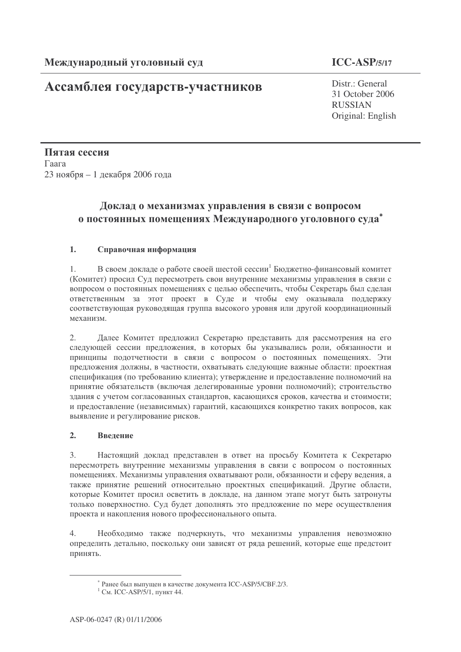## Ассамблея государств-участников

Distr.: General 31 October 2006 **RUSSIAN** Original: English

Пятая сессия Гаага 23 ноября - 1 декабря 2006 года

## Доклад о механизмах управления в связи с вопросом о постоянных помещениях Международного уголовного суда\*

### $1.$ Справочная информация

В своем локлале о работе своей шестой сессии<sup>1</sup> Бюлжетно-финансовый комитет  $1<sup>1</sup>$ (Комитет) просил Суд пересмотреть свои внутренние механизмы управления в связи с вопросом о постоянных помещениях с целью обеспечить, чтобы Секретарь был сделан ответственным за этот проект в Суде и чтобы ему оказывала поддержку соответствующая руководящая группа высокого уровня или другой координационный механизм.

Далее Комитет предложил Секретарю представить для рассмотрения на его  $\mathcal{D}$ следующей сессии предложения, в которых бы указывались роли, обязанности и принципы подотчетности в связи с вопросом о постоянных помещениях. Эти предложения должны, в частности, охватывать следующие важные области: проектная спецификация (по требованию клиента); утверждение и предоставление полномочий на принятие обязательств (включая делегированные уровни полномочий); строительство здания с учетом согласованных стандартов, касающихся сроков, качества и стоимости; и предоставление (независимых) гарантий, касающихся конкретно таких вопросов, как выявление и регулирование рисков.

### $2.$ Ввеление

 $\overline{3}$ . Настоящий доклад представлен в ответ на просьбу Комитета к Секретарю пересмотреть внутренние механизмы управления в связи с вопросом о постоянных помещениях. Механизмы управления охватывают роли, обязанности и сферу ведения, а также принятие решений относительно проектных спецификаций. Другие области, которые Комитет просил осветить в докладе, на данном этапе могут быть затронуты только поверхностно. Суд будет дополнять это предложение по мере осуществления проекта и накопления нового профессионального опыта.

 $4.$ Необходимо также подчеркнуть, что механизмы управления невозможно определить детально, поскольку они зависят от ряда решений, которые еще предстоит принять.

<sup>\*</sup> Ранее был выпущен в качестве документа ICC-ASP/5/CBF.2/3.

<sup>&</sup>lt;sup>1</sup> См. ICC-ASP/5/1, пункт 44.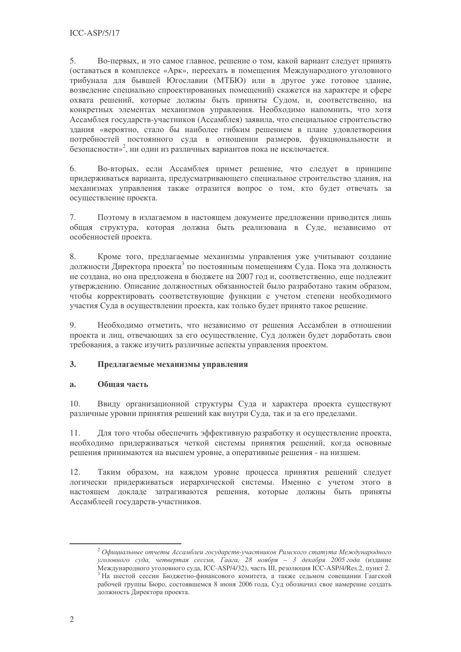5. Во-первых, и это самое главное, решение о том, какой вариант следует принять (оставаться в комплексе «Арк», переехать в помещения Международного уголовного трибунала для бывшей Югославии (МТБЮ) или в другое уже готовое здание, возведение специально спроектированных помещений) скажется на характере и сфере охвата решений, которые должны быть приняты Судом, и, соответственно, на конкретных элементах механизмов управления. Необходимо напомнить, что хотя Ассамблея государств-участников (Ассамблея) заявила, что специальное строительство здания «вероятно, стало бы наиболее гибким решением в плане удовлетворения потребностей постоянного суда в отношении размеров, функциональности и безопасности»<sup>2</sup>, ни один из различных вариантов пока не исключается.

Во-вторых, если Ассамблея примет решение, что следует в принципе 6. придерживаться варианта, предусматривающего специальное строительство здания, на механизмах управления также отразится вопрос о том, кто будет отвечать за осуществление проекта.

 $7<sup>1</sup>$ Поэтому в излагаемом в настоящем локументе предложении приводится лишь обшая структура, которая должна быть реализована в Суде, независимо от особенностей проекта.

Кроме того, предлагаемые механизмы управления уже учитывают создание 8. должности Директора проекта<sup>3</sup> по постоянным помещениям Суда. Пока эта должность не создана, но она предложена в бюджете на 2007 год и, соответственно, еще подлежит утверждению. Описание должностных обязанностей было разработано таким образом, чтобы корректировать соответствующие функции с учетом степени необходимого участия Суда в осуществлении проекта, как только будет принято такое решение.

9. Необходимо отметить, что независимо от решения Ассамблеи в отношении проекта и лиц, отвечающих за его осуществление, Суд должен будет доработать свои требования, а также изучить различные аспекты управления проектом.

### $3.$ Предлагаемые механизмы управления

#### Обшая часть  $a<sub>z</sub>$

 $10.$ Ввиду организационной структуры Суда и характера проекта существуют различные уровни принятия решений как внутри Суда, так и за его пределами.

Для того чтобы обеспечить эффективную разработку и осуществление проекта, 11. необходимо придерживаться четкой системы принятия решений, когда основные решения принимаются на высшем уровне, а оперативные решения - на низшем.

 $12<sup>12</sup>$ Таким образом, на каждом уровне процесса принятия решений следует логически придерживаться иерархической системы. Именно с учетом этого в настоящем докладе затрагиваются решения, которые должны быть приняты Ассамблеей государств-участников.

 $\alpha^2$  Официальные отчеты Ассамблеи государств-участников Римского статута Международного уголовного суда, четвертая сессия, Гаага, 28 ноября - 3 декабря 2005 года (издание Международного уголовного суда, ICC-ASP/4/32), часть III, резолюция ICC-ASP/4/Res.2, пункт 2. <sup>3</sup> На шестой сессии Бюджетно-финансового комитета, а также седьмом совещании Гаагской рабочей группы Бюро, состоявшемся 8 июня 2006 года, Суд обозначил свое намерение создать должность Директора проекта.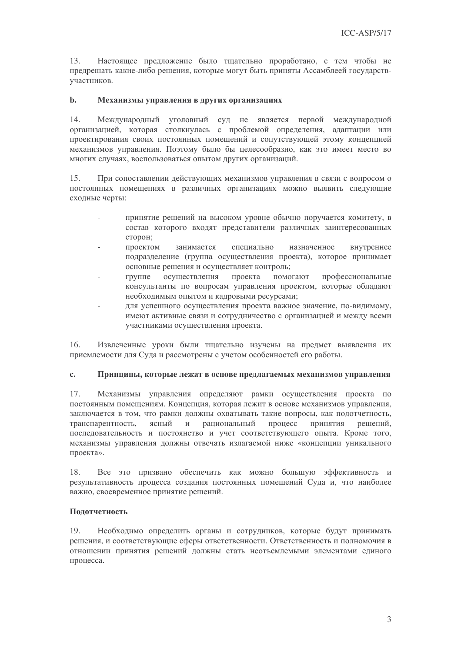13. Настоящее предложение было тщательно проработано, с тем чтобы не предрешать какие-либо решения, которые могут быть приняты Ассамблеей государствучастников.

#### $\mathbf{h}$ . Механизмы управления в других организациях

 $14$ Международный уголовный суд не является первой международной организацией, которая столкнулась с проблемой определения, адаптации или проектирования своих постоянных помещений и сопутствующей этому концепцией механизмов управления. Поэтому было бы целесообразно, как это имеет место во многих случаях, воспользоваться опытом других организаций.

15. При сопоставлении действующих механизмов управления в связи с вопросом о постоянных помещениях в различных организациях можно выявить следующие сходные черты:

- принятие решений на высоком уровне обычно поручается комитету, в состав которого входят представители различных заинтересованных сторон:
- проектом занимается специально назначенное внутреннее подразделение (группа осуществления проекта), которое принимает основные решения и осуществляет контроль;
- осушествления проекта помогают группе профессиональные консультанты по вопросам управления проектом, которые обладают необходимым опытом и кадровыми ресурсами:
- для успешного осуществления проекта важное значение, по-видимому, имеют активные связи и сотрудничество с организацией и между всеми участниками осуществления проекта.

16. Извлеченные уроки были тщательно изучены на предмет выявления их приемлемости для Суда и рассмотрены с учетом особенностей его работы.

#### $\mathbf{c}$ . Принципы, которые лежат в основе предлагаемых механизмов управления

Механизмы управления определяют рамки осуществления проекта по 17. постоянным помещениям. Концепция, которая лежит в основе механизмов управления, заключается в том, что рамки должны охватывать такие вопросы, как подотчетность, транспарентность, ясный  $\,$   $\,$   $\,$   $\,$ рациональный процесс принятия решений, последовательность и постоянство и учет соответствующего опыта. Кроме того, механизмы управления должны отвечать излагаемой ниже «концепции уникального проекта».

Все это призвано обеспечить как можно большую эффективность и 18 результативность процесса создания постоянных помещений Суда и, что наиболее важно, своевременное принятие решений.

### Подотчетность

Необходимо определить органы и сотрудников, которые будут принимать 19 решения, и соответствующие сферы ответственности. Ответственность и полномочия в отношении принятия решений должны стать неотъемлемыми элементами единого процесса.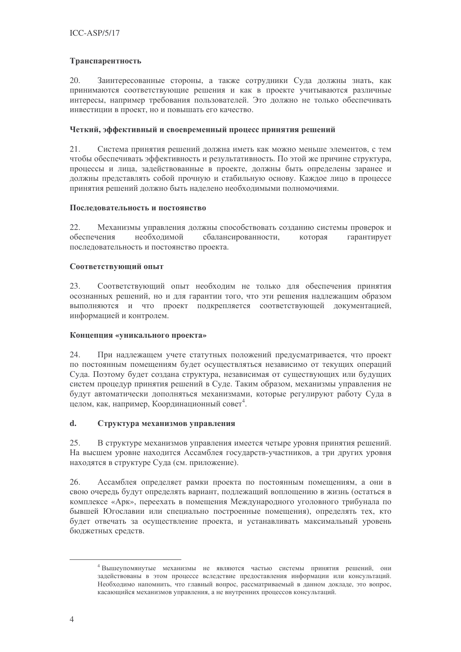### Транспарентность

20. Заинтересованные стороны, а также сотрудники Суда должны знать, как принимаются соответствующие решения и как в проекте учитываются различные интересы, например требования пользователей. Это должно не только обеспечивать инвестиции в проект, но и повышать его качество.

### Четкий, эффективный и своевременный процесс принятия решений

 $21.$ Система принятия решений должна иметь как можно меньше элементов, с тем чтобы обеспечивать эффективность и результативность. По этой же причине структура, процессы и лица, задействованные в проекте, должны быть определены заранее и должны представлять собой прочную и стабильную основу. Каждое лицо в процессе принятия решений должно быть наделено необходимыми полномочиями.

### Последовательность и постоянство

 $22$ Механизмы управления должны способствовать созданию системы проверок и обеспечения необходимой сбалансированности, которая гарантирует последовательность и постоянство проекта.

### Соответствующий опыт

23. Соответствующий опыт необходим не только для обеспечения принятия осознанных решений, но и для гарантии того, что эти решения надлежащим образом выполняются и что проект подкрепляется соответствующей документацией, информацией и контролем.

### Концепция «уникального проекта»

24. При надлежащем учете статутных положений предусматривается, что проект по постоянным помещениям будет осуществляться независимо от текущих операций Суда. Поэтому будет создана структура, независимая от существующих или будущих систем процедур принятия решений в Суде. Таким образом, механизмы управления не будут автоматически дополняться механизмами, которые регулируют работу Суда в целом, как, например, Координационный совет<sup>4</sup>.

### $\mathbf{d}$ . Структура механизмов управления

25. В структуре механизмов управления имеется четыре уровня принятия решений. На высшем уровне находится Ассамблея государств-участников, а три других уровня находятся в структуре Суда (см. приложение).

26. Ассамблея определяет рамки проекта по постоянным помещениям, а они в свою очередь будут определять вариант, подлежащий воплощению в жизнь (остаться в комплексе «Арк», переехать в помещения Международного уголовного трибунала по бывшей Югославии или специально построенные помещения), определять тех, кто будет отвечать за осуществление проекта, и устанавливать максимальный уровень бюлжетных средств.

<sup>4</sup> Вышеупомянутые механизмы не являются частью системы принятия решений, они задействованы в этом процессе вследствие предоставления информации или консультаций. Необходимо напомнить, что главный вопрос, рассматриваемый в данном докладе, это вопрос, касающийся механизмов управления, а не внутренних процессов консультаций.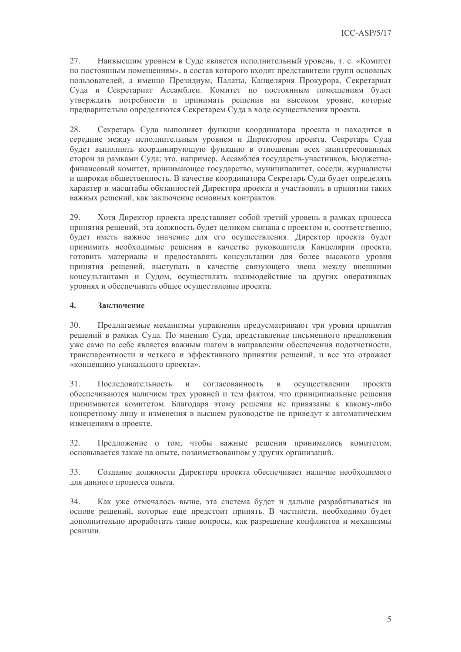27. Наивысшим уровнем в Суде является исполнительный уровень, т. е. «Комитет по постоянным помещениям», в состав которого входят представители групп основных пользователей, а именно Президиум, Палаты, Канцелярия Прокурора, Секретариат Суда и Секретариат Ассамблеи. Комитет по постоянным помещениям будет утверждать потребности и принимать решения на высоком уровне, которые предварительно определяются Секретарем Суда в ходе осуществления проекта.

28. Секретарь Суда выполняет функции координатора проекта и находится в середине между исполнительным уровнем и Директором проекта. Секретарь Суда будет выполнять координирующую функцию в отношении всех заинтересованных сторон за рамками Суда; это, например, Ассамблея государств-участников, Бюджетнофинансовый комитет, принимающее государство, муниципалитет, соседи, журналисты и широкая общественность. В качестве координатора Секретарь Суда будет определять характер и масштабы обязанностей Директора проекта и участвовать в принятии таких важных решений, как заключение основных контрактов.

29. Хотя Лиректор проекта представляет собой третий уровень в рамках процесса принятия решений, эта должность будет целиком связана с проектом и, соответственно, будет иметь важное значение для его осуществления. Директор проекта будет принимать необходимые решения в качестве руководителя Канцелярии проекта, готовить материалы и предоставлять консультации для более высокого уровня принятия решений, выступать в качестве связующего звена между внешними консультантами и Судом, осуществлять взаимодействие на других оперативных уровнях и обеспечивать общее осуществление проекта.

#### $\overline{4}$ . Заключение

 $30.$ Предлагаемые механизмы управления предусматривают три уровня принятия решений в рамках Суда. По мнению Суда, представление письменного предложения уже само по себе является важным шагом в направлении обеспечения подотчетности, транспарентности и четкого и эффективного принятия решений, и все это отражает «концепцию уникального проекта».

Последовательность  $31.$  $\mathbf{M}$ согласованность  $\mathbf{B}$ осушествлении проекта обеспечиваются наличием трех уровней и тем фактом, что принципиальные решения принимаются комитетом. Благодаря этому решения не привязаны к какому-либо конкретному лицу и изменения в высшем руководстве не приведут к автоматическим изменениям в проекте.

Предложение о том, чтобы важные решения принимались комитетом, 32. основывается также на опыте, позаимствованном у других организаций.

Создание должности Директора проекта обеспечивает наличие необходимого  $33$ для данного процесса опыта.

34. Как уже отмечалось выше, эта система будет и дальше разрабатываться на основе решений, которые еще предстоит принять. В частности, необходимо будет дополнительно проработать такие вопросы, как разрешение конфликтов и механизмы ревизии.